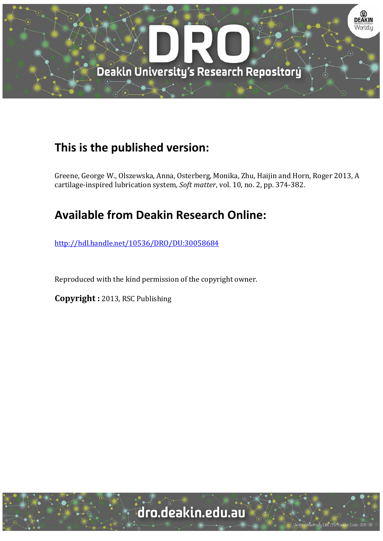

# **This is the published version:**

Greene, George W., Olszewska, Anna, Osterberg, Monika, Zhu, Haijin and Horn, Roger 2013, A cartilage-inspired lubrication system, Soft matter, vol. 10, no. 2, pp. 374-382.

# **Available from Deakin Research Online:**

http://hdl.handle.net/10536/DRO/DU:30058684

Reproduced with the kind permission of the copyright owner.

**Copyright :** 2013, RSC Publishing

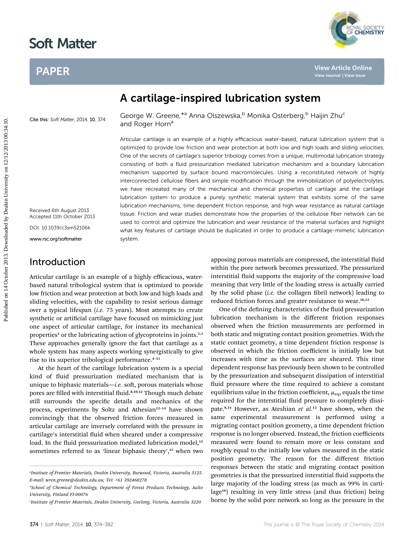# PAPER



# A cartilage-inspired lubrication system

Cite this: Soft Matter, 2014, 10, 374

George W. Greene, \*a Anna Olszewska, b Monika Osterberg, b Haijin Zhu<sup>c</sup> and Roger Horn<sup>a</sup>

Articular cartilage is an example of a highly efficacious water-based, natural lubrication system that is optimized to provide low friction and wear protection at both low and high loads and sliding velocities. One of the secrets of cartilage's superior tribology comes from a unique, multimodal lubrication strategy consisting of both a fluid pressurization mediated lubrication mechanism and a boundary lubrication mechanism supported by surface bound macromolecules. Using a reconstituted network of highly interconnected cellulose fibers and simple modification through the immobilization of polyelectrolytes, we have recreated many of the mechanical and chemical properties of cartilage and the cartilage lubrication system to produce a purely synthetic material system that exhibits some of the same lubrication mechanisms, time dependent friction response, and high wear resistance as natural cartilage tissue. Friction and wear studies demonstrate how the properties of the cellulose fiber network can be used to control and optimize the lubrication and wear resistance of the material surfaces and highlight what key features of cartilage should be duplicated in order to produce a cartilage-mimetic lubrication system. **PAPER**<br> **A cartilage-inspired lubrication system**<br> **Clustering**<br> **Clustering Clustering Clustering Clustering Clustering Clustering Clustering Clustering Clustering Clustering Clustering Clustering Clustering Clustering C** 

Received 6th August 2013 Accepted 11th October 2013

DOI: 10.1039/c3sm52106k

www.rsc.org/softmatter

### Introduction

Articular cartilage is an example of a highly efficacious, waterbased natural tribological system that is optimized to provide low friction and wear protection at both low and high loads and sliding velocities, with the capability to resist serious damage over a typical lifespan (i.e. 75 years). Most attempts to create synthetic or artificial cartilage have focused on mimicking just one aspect of articular cartilage, for instance its mechanical properties<sup>1</sup> or the lubricating action of glycoproteins in joints.<sup>2,3</sup> These approaches generally ignore the fact that cartilage as a whole system has many aspects working synergistically to give rise to its superior tribological performance.<sup>4-11</sup>

At the heart of the cartilage lubrication system is a special kind of fluid pressurization mediated mechanism that is unique to biphasic materials-i.e. soft, porous materials whose pores are filled with interstitial fluid.<sup>8,10,12</sup> Though much debate still surrounds the specific details and mechanics of the process, experiments by Soltz and Athesian<sup>12-14</sup> have shown convincingly that the observed friction forces measured in articular cartilage are inversely correlated with the pressure in cartilage's interstitial fluid when sheared under a compressive load. In the fluid pressurization mediated lubrication model,<sup>12</sup> sometimes referred to as 'linear biphasic theory', <sup>15</sup> when two

apposing porous materials are compressed, the interstitial fluid within the pore network becomes pressurized. The pressurized interstitial fluid supports the majority of the compressive load meaning that very little of the loading stress is actually carried by the solid phase (i.e. the collagen fibril network) leading to reduced friction forces and greater resistance to wear.<sup>10,12</sup>

One of the defining characteristics of the fluid pressurization lubrication mechanism is the different friction responses observed when the friction measurements are performed in both static and migrating contact position geometries. With the static contact geometry, a time dependent friction response is observed in which the friction coefficient is initially low but increases with time as the surfaces are sheared. This time dependent response has previously been shown to be controlled by the pressurization and subsequent dissipation of interstitial fluid pressure where the time required to achieve a constant equilibrium value in the friction coefficient,  $\mu_{eq}$ , equals the time required for the interstitial fluid pressure to completely dissipate.<sup>8,14</sup> However, as Ateshian et al.<sup>12</sup> have shown, when the same experimental measurement is performed using a migrating contact position geometry, a time dependent friction response is no longer observed. Instead, the friction coefficients measured were found to remain more or less constant and roughly equal to the initially low values measured in the static position geometry. The reason for the different friction responses between the static and migrating contact position geometries is that the pressurized interstitial fluid supports the large majority of the loading stress (as much as 99% in cartilage<sup>16</sup>) resulting in very little stress (and thus friction) being borne by the solid pore network so long as the pressure in the

a Institute of Frontier Materials, Deakin University, Burwood, Victoria, Australia 3125. E-mail: wren.greene@deakin.edu.au; Tel: +61 392468278

b School of Chemical Technology, Department of Forest Products Technology, Aalto University, Finland FI-00076

c Institute of Frontier Materials, Deakin University, Geelong, Victoria, Australia 3220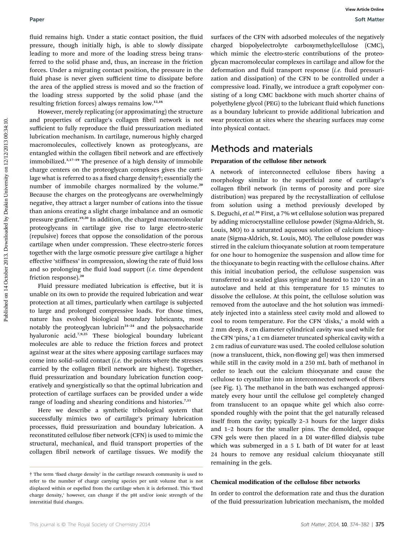fluid remains high. Under a static contact position, the fluid pressure, though initially high, is able to slowly dissipate leading to more and more of the loading stress being transferred to the solid phase and, thus, an increase in the friction forces. Under a migrating contact position, the pressure in the fluid phase is never given sufficient time to dissipate before the area of the applied stress is moved and so the fraction of the loading stress supported by the solid phase (and the resulting friction forces) always remains low.12,16

However, merely replicating (or approximating) the structure and properties of cartilage's collagen fibril network is not sufficient to fully reproduce the fluid pressurization mediated lubrication mechanism. In cartilage, numerous highly charged macromolecules, collectively known as proteoglycans, are entangled within the collagen fibril network and are effectively immobilized.3,17–<sup>19</sup> The presence of a high density of immobile charge centers on the proteoglycan complexes gives the cartilage what is referred to as a fixed charge density†; essentially the number of immobile charges normalized by the volume.<sup>20</sup> Because the charges on the proteoglycans are overwhelmingly negative, they attract a larger number of cations into the tissue than anions creating a slight charge imbalance and an osmotic pressure gradient.19,20 In addition, the charged macromolecular proteoglycans in cartilage give rise to large electro-steric (repulsive) forces that oppose the consolidation of the porous cartilage when under compression. These electro-steric forces together with the large osmotic pressure give cartilage a higher effective 'stiffness' in compression, slowing the rate of fluid loss and so prolonging the fluid load support  $(i.e.$  time dependent friction response).<sup>20</sup> Paper<br>
Published on this contact position, the final surfaces of the CFN with adsorbed nobeleable pressure. Among the interview of the proposition of the proposition of the proposition of the proposition of the proposition

Fluid pressure mediated lubrication is effective, but it is unable on its own to provide the required lubrication and wear protection at all times, particularly when cartilage is subjected to large and prolonged compressive loads. For those times, nature has evolved biological boundary lubricants, most notably the proteoglycan lubricin<sup>21-24</sup> and the polysaccharide hyaluronic acid.7,9,25 These biological boundary lubricant molecules are able to reduce the friction forces and protect against wear at the sites where apposing cartilage surfaces may come into solid-solid contact  $(i.e.$  the points where the stresses carried by the collagen fibril network are highest). Together, fluid pressurization and boundary lubrication function cooperatively and synergistically so that the optimal lubrication and protection of cartilage surfaces can be provided under a wide range of loading and shearing conditions and histories.<sup>7,11</sup>

Here we describe a synthetic tribological system that successfully mimics two of cartilage's primary lubrication processes, fluid pressurization and boundary lubrication. A reconstituted cellulose fiber network (CFN) is used to mimic the structural, mechanical, and fluid transport properties of the collagen fibril network of cartilage tissues. We modify the surfaces of the CFN with adsorbed molecules of the negatively charged biopolyelectrolyte carboxymethylcellulose (CMC), which mimic the electro-steric contributions of the proteoglycan macromolecular complexes in cartilage and allow for the deformation and fluid transport response (i.e. fluid pressurization and dissipation) of the CFN to be controlled under a compressive load. Finally, we introduce a graft copolymer consisting of a long CMC backbone with much shorter chains of polyethylene glycol (PEG) to the lubricant fluid which functions as a boundary lubricant to provide additional lubrication and wear protection at sites where the shearing surfaces may come into physical contact.

# Methods and materials

#### Preparation of the cellulose fiber network

A network of interconnected cellulose fibers having a morphology similar to the superficial zone of cartilage's collagen fibril network (in terms of porosity and pore size distribution) was prepared by the recrystallization of cellulose from solution using a method previously developed by S. Deguchi, et al.<sup>26</sup> First, a 7% wt cellulose solution was prepared by adding microcrystalline cellulose powder (Sigma-Aldrich, St. Louis, MO) to a saturated aqueous solution of calcium thiocyanate (Sigma-Aldrich, St. Louis, MO). The cellulose powder was stirred in the calcium thiocyanate solution at room temperature for one hour to homogenize the suspension and allow time for the thiocyanate to begin reacting with the cellulose chains. After this initial incubation period, the cellulose suspension was transferred to a sealed glass syringe and heated to 120  $^{\circ}$ C in an autoclave and held at this temperature for 15 minutes to dissolve the cellulose. At this point, the cellulose solution was removed from the autoclave and the hot solution was immediately injected into a stainless steel cavity mold and allowed to cool to room temperature. For the CFN 'disks,' a mold with a 2 mm deep, 8 cm diameter cylindrical cavity was used while for the CFN 'pins,' a 1 cm diameter truncated spherical cavity with a 2 cm radius of curvature was used. The cooled cellulose solution (now a translucent, thick, non-flowing gel) was then immersed while still in the cavity mold in a 250 mL bath of methanol in order to leach out the calcium thiocyanate and cause the cellulose to crystallize into an interconnected network of fibers (see Fig. 1). The methanol in the bath was exchanged approximately every hour until the cellulose gel completely changed from translucent to an opaque white gel which also corresponded roughly with the point that the gel naturally released itself from the cavity; typically 2–3 hours for the larger disks and 1–2 hours for the smaller pins. The demolded, opaque CFN gels were then placed in a DI water-filled dialysis tube which was submerged in a 5 L bath of DI water for at least 24 hours to remove any residual calcium thiocyanate still remaining in the gels.

#### Chemical modification of the cellulose fiber networks

In order to control the deformation rate and thus the duration of the fluid pressurization lubrication mechanism, the molded

<sup>&</sup>lt;sup>†</sup> The term 'fixed charge density' in the cartilage research community is used to refer to the number of charge carrying species per unit volume that is not displaced within or expelled from the cartilage when it is deformed. This 'fixed charge density,' however, can change if the pH and/or ionic strength of the interstitial fluid changes.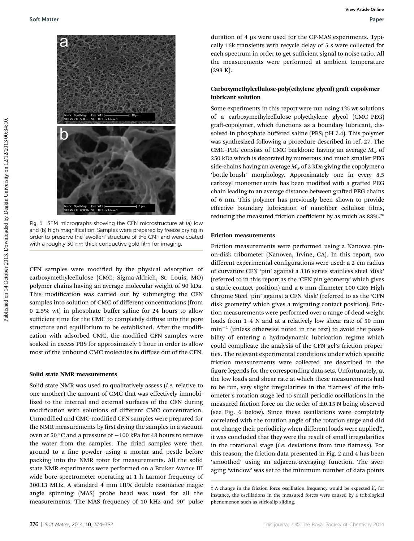

Fig. 1 SEM micrographs showing the CFN microstructure at (a) low and (b) high magnification. Samples were prepared by freeze drying in order to preserve the 'swollen' structure of the CNF and were coated with a roughly 30 nm thick conductive gold film for imaging.

CFN samples were modified by the physical adsorption of carboxymethylcellulose (CMC; Sigma-Aldrich, St. Louis, MO) polymer chains having an average molecular weight of 90 kDa. This modification was carried out by submerging the CFN samples into solution of CMC of different concentrations (from 0–2.5% wt) in phosphate buffer saline for 24 hours to allow sufficient time for the CMC to completely diffuse into the pore structure and equilibrium to be established. After the modification with adsorbed CMC, the modified CFN samples were soaked in excess PBS for approximately 1 hour in order to allow most of the unbound CMC molecules to diffuse out of the CFN.

#### Solid state NMR measurements

Solid state NMR was used to qualitatively assess  $(i.e.$  relative to one another) the amount of CMC that was effectively immobilized to the internal and external surfaces of the CFN during modification with solutions of different CMC concentration. Unmodified and CMC-modified CFN samples were prepared for the NMR measurements by first drying the samples in a vacuum oven at 50  $^{\circ}$ C and a pressure of  $-100$  kPa for 48 hours to remove the water from the samples. The dried samples were then ground to a fine powder using a mortar and pestle before packing into the NMR rotor for measurements. All the solid state NMR experiments were performed on a Bruker Avance III wide bore spectrometer operating at 1 h Larmor frequency of 300.13 MHz. A standard 4 mm HFX double resonance magic angle spinning (MAS) probe head was used for all the measurements. The MAS frequency of 10 kHz and 90° pulse

duration of 4 µs were used for the CP-MAS experiments. Typically 16k transients with recycle delay of 5 s were collected for each spectrum in order to get sufficient signal to noise ratio. All the measurements were performed at ambient temperature (298 K).

### Carboxymethylcellulose-poly(ethylene glycol) graft copolymer lubricant solution

Some experiments in this report were run using 1% wt solutions of a carboxymethylcellulose–polyethylene glycol (CMC–PEG) graft-copolymer, which functions as a boundary lubricant, dissolved in phosphate buffered saline (PBS; pH 7.4). This polymer was synthesized following a procedure described in ref. 27. The CMC–PEG consists of CMC backbone having an average  $M_w$  of 250 kDa which is decorated by numerous and much smaller PEG side-chains having an average  $M_w$  of 2 kDa giving the copolymer a 'bottle-brush' morphology. Approximately one in every 8.5 carboxyl monomer units has been modified with a grafted PEG chain leading to an average distance between grafted PEG chains of 6 nm. This polymer has previously been shown to provide effective boundary lubrication of nanofiber cellulose films, reducing the measured friction coefficient by as much as 88%.<sup>28</sup>

#### Friction measurements

Friction measurements were performed using a Nanovea pinon-disk tribometer (Nanovea, Irvine, CA). In this report, two different experimental configurations were used: a 2 cm radius of curvature CFN 'pin' against a 316 series stainless steel 'disk' (referred to in this report as the 'CFN pin geometry' which gives a static contact position) and a 6 mm diameter 100 CR6 High Chrome Steel 'pin' against a CFN 'disk' (referred to as the 'CFN disk geometry' which gives a migrating contact position). Friction measurements were performed over a range of dead weight loads from 1–4 N and at a relatively low shear rate of 50 mm  $min^{-1}$  (unless otherwise noted in the text) to avoid the possibility of entering a hydrodynamic lubrication regime which could complicate the analysis of the CFN gel's friction properties. The relevant experimental conditions under which specific friction measurements were collected are described in the figure legends for the corresponding data sets. Unfortunately, at the low loads and shear rate at which these measurements had to be run, very slight irregularities in the 'flatness' of the tribometer's rotation stage led to small periodic oscillations in the measured friction force on the order of  $\pm 0.15$  N being observed (see Fig. 6 below). Since these oscillations were completely correlated with the rotation angle of the rotation stage and did not change their periodicity when different loads were applied‡, it was concluded that they were the result of small irregularities in the rotational stage  $(i.e.$  deviations from true flatness). For this reason, the friction data presented in Fig. 2 and 4 has been 'smoothed' using an adjacent-averaging function. The averaging 'window' was set to the minimum number of data points

<sup>‡</sup> A change in the friction force oscillation frequency would be expected if, for instance, the oscillations in the measured forces were caused by a tribological phenomenon such as stick-slip sliding.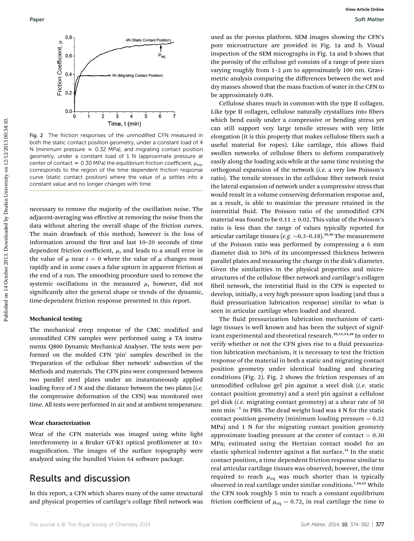

Fig. 2 The friction responses of the unmodified CFN measured in both the static contact position geometry, under a constant load of 4 N (minimum pressure  $\approx$  0.32 MPa), and migrating contact position geometry, under a constant load of 1 N (approximate pressure at center of contact  $\approx 0.30$  MPa) the equilibrium friction coefficient,  $\mu_{eq}$ , corresponds to the region of the time dependent friction response curve (static contact position) where the value of  $\mu$  settles into a constant value and no longer changes with time.

necessary to remove the majority of the oscillation noise. The adjacent-averaging was effective at removing the noise from the data without altering the overall shape of the friction curves. The main drawback of this method; however is the loss of information around the first and last 10-20 seconds of time dependent friction coefficient,  $\mu$ , and leads to a small error in the value of  $\mu$  near  $t = 0$  where the value of  $\mu$  changes most rapidly and in some cases a false upturn in apparent friction at the end of a run. The smoothing procedure used to remove the systemic oscillations in the measured  $\mu$ , however, did not significantly alter the general shape or trends of the dynamic, time-dependent friction response presented in this report.

#### Mechanical testing

The mechanical creep response of the CMC modified and unmodified CFN samples were performed using a TA instruments Q800 Dynamic Mechanical Analyser. The tests were performed on the molded CFN 'pin' samples described in the 'Preparation of the cellulose fiber network' subsection of the Methods and materials. The CFN pins were compressed between two parallel steel plates under an instantaneously applied loading force of 3 N and the distance between the two plates  $(i.e.$ the compressive deformation of the CFN) was monitored over time. All tests were performed in air and at ambient temperature.

#### Wear characterization

Wear of the CFN materials was imaged using white light interferometry in a Bruker GT-K1 optical profilometer at  $10\times$ magnification. The images of the surface topography were analyzed using the bundled Vision 64 software package.

## Results and discussion

In this report, a CFN which shares many of the same structural and physical properties of cartilage's collage fibril network was

used as the porous platform. SEM images showing the CFN's pore microstructure are provided in Fig. 1a and b. Visual inspection of the SEM micrographs in Fig. 1a and b shows that the porosity of the cellulose gel consists of a range of pore sizes varying roughly from  $1-2 \mu m$  to approximately 100 nm. Gravimetric analysis comparing the differences between the wet and dry masses showed that the mass fraction of water in the CFN to be approximately 0.89.

Cellulose shares much in common with the type II collagen. Like type II collagen, cellulose naturally crystallizes into fibers which bend easily under a compressive or bending stress yet can still support very large tensile stresses with very little elongation (it is this property that makes cellulose fibers such a useful material for ropes). Like cartilage, this allows fluid swollen networks of cellulose fibers to deform comparatively easily along the loading axis while at the same time resisting the orthogonal expansion of the network (i.e. a very low Poisson's ratio). The tensile stresses in the cellulose fiber network resist the lateral expansion of network under a compressive stress that would result in a volume conserving deformation response and, as a result, is able to maximize the pressure retained in the interstitial fluid. The Poisson ratio of the unmodified CFN material was found to be  $0.11 \pm 0.02$ . This value of the Poisson's ratio is less than the range of values typically reported for articular cartilage tissues (e.g.  $\sim$ 0.3–0.18).<sup>29,30</sup> The measurement of the Poisson ratio was performed by compressing a 6 mm diameter disk to 50% of its uncompressed thickness between parallel plates and measuring the change in the disk's diameter. Given the similarities in the physical properties and microstructures of the cellulose fiber network and cartilage's collagen fibril network, the interstitial fluid in the CFN is expected to develop, initially, a very high pressure upon loading (and thus a fluid pressurization lubrication response) similar to what is seen in articular cartilage when loaded and sheared. Puper<br>
Published on 14 October 2013. The control of the mathematics of the proposition of the proposition of the proposition of the mathematics of the mathematics of the mathematics of the mathematics of the mathematics o

The fluid pressurization lubrication mechanism of cartilage tissues is well known and has been the subject of significant experimental and theoretical research.<sup>10,12,14,20</sup> In order to verify whether or not the CFN gives rise to a fluid pressurization lubrication mechanism, it is necessary to test the friction response of the material in both a static and migrating contact position geometry under identical loading and shearing conditions (Fig. 2). Fig. 2 shows the friction responses of an unmodified cellulose gel pin against a steel disk  $(i.e.$  static contact position geometry) and a steel pin against a cellulose gel disk (i.e. migrating contact geometry) at a shear rate of 50  $mm min<sup>-1</sup>$  in PBS. The dead weight load was 4 N for the static contact position geometry (minimum loading pressure  $= 0.32$ MPa) and 1 N for the migrating contact position geometry approximate loading pressure at the center of contact  $= 0.30$ MPa; estimated using the Hertzian contact model for an elastic spherical indenter against a flat surface.<sup>31</sup> In the static contact position, a time dependent friction response similar to real articular cartilage tissues was observed; however, the time required to reach  $\mu_{eq}$  was much shorter than is typically observed in real cartilage under similar conditions.<sup>7,10,12</sup> While the CFN took roughly 5 min to reach a constant equilibrium friction coefficient of  $\mu_{\text{eq}} = 0.72$ , in real cartilage the time to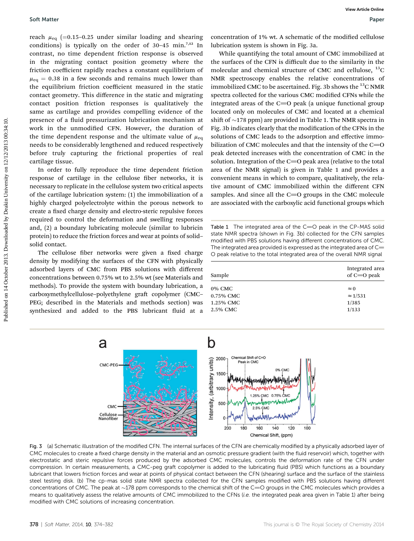reach  $\mu_{eq}$  (=0.15–0.25 under similar loading and shearing conditions) is typically on the order of  $30-45$  min.<sup>7,12</sup> In contrast, no time dependent friction response is observed in the migrating contact position geometry where the friction coefficient rapidly reaches a constant equilibrium of  $\mu_{\text{eq}} = 0.38$  in a few seconds and remains much lower than the equilibrium friction coefficient measured in the static contact geometry. This difference in the static and migrating contact position friction responses is qualitatively the same as cartilage and provides compelling evidence of the presence of a fluid pressurization lubrication mechanism at work in the unmodified CFN. However, the duration of the time dependent response and the ultimate value of  $\mu_{eq}$ needs to be considerably lengthened and reduced respectively before truly capturing the frictional properties of real cartilage tissue.

In order to fully reproduce the time dependent friction response of cartilage in the cellulose fiber networks, it is necessary to replicate in the cellulose system two critical aspects of the cartilage lubrication system: (1) the immobilization of a highly charged polyelectrolyte within the porous network to create a fixed charge density and electro-steric repulsive forces required to control the deformation and swelling responses and, (2) a boundary lubricating molecule (similar to lubricin protein) to reduce the friction forces and wear at points of solid– solid contact.

The cellulose fiber networks were given a fixed charge density by modifying the surfaces of the CFN with physically adsorbed layers of CMC from PBS solutions with different concentrations between 0.75% wt to 2.5% wt (see Materials and methods). To provide the system with boundary lubrication, a carboxymethylcellulose-polyethylene graft copolymer (CMC-PEG; described in the Materials and methods section) was synthesized and added to the PBS lubricant fluid at a

concentration of 1% wt. A schematic of the modified cellulose lubrication system is shown in Fig. 3a.

While quantifying the total amount of CMC immobilized at the surfaces of the CFN is difficult due to the similarity in the molecular and chemical structure of CMC and cellulose,  $^{13}$ C NMR spectroscopy enables the relative concentrations of immobilized CMC to be ascertained. Fig. 3b shows the  $^{13}$ C NMR spectra collected for the various CMC modified CFNs while the integrated areas of the  $C=O$  peak (a unique functional group located only on molecules of CMC and located at a chemical shift of  $\sim$ 178 ppm) are provided in Table 1. The NMR spectra in Fig. 3b indicates clearly that the modification of the CFNs in the solutions of CMC leads to the adsorption and effective immobilization of CMC molecules and that the intensity of the  $C=O$ peak detected increases with the concentration of CMC in the solution. Integration of the  $C=O$  peak area (relative to the total area of the NMR signal) is given in Table 1 and provides a convenient means in which to compare, qualitatively, the relative amount of CMC immobilized within the different CFN samples. And since all the  $C=O$  groups in the CMC molecule are associated with the carboxylic acid functional groups which Soft Matter<br>
reach  $\mu_{\rm eq}$  (=0.15-0.25 under similar bading and shearing concuration of 1% w.f. Achematic of the modified cellules<br>
contribute the property where the orientation systems in Fig. and contribute the conten

Table 1 The integrated area of the  $C=O$  peak in the CP-MAS solid state NMR spectra (shown in Fig. 3b) collected for the CFN samples modified with PBS solutions having different concentrations of CMC. The integrated area provided is expressed as the integrated area of  $C=$ O peak relative to the total integrated area of the overall NMR signal

| Sample       | Integrated area<br>of $C=O$ peak |
|--------------|----------------------------------|
| $0\%$ CMC    | $\approx 0$                      |
| $0.75\%$ CMC | $\approx$ 1/531                  |
| 1.25% CMC    | 1/385                            |
| 2.5% CMC     | 1/133                            |



Fig. 3 (a) Schematic illustration of the modified CFN. The internal surfaces of the CFN are chemically modified by a physically adsorbed layer of CMC molecules to create a fixed charge density in the material and an osmotic pressure gradient (with the fluid reservoir) which, together with electrostatic and steric repulsive forces produced by the adsorbed CMC molecules, controls the deformation rate of the CFN under compression. In certain measurements, a CMC-peg graft copolymer is added to the lubricating fluid (PBS) which functions as a boundary lubricant that lowers friction forces and wear at points of physical contact between the CFN (shearing) surface and the surface of the stainless steel testing disk. (b) The cp-mas solid state NMR spectra collected for the CFN samples modified with PBS solutions having different concentrations of CMC. The peak at  $\sim$ 178 ppm corresponds to the chemical shift of the C=O groups in the CMC molecules which provides a means to qualitatively assess the relative amounts of CMC immobilized to the CFNs (i.e. the integrated peak area given in Table 1) after being modified with CMC solutions of increasing concentration.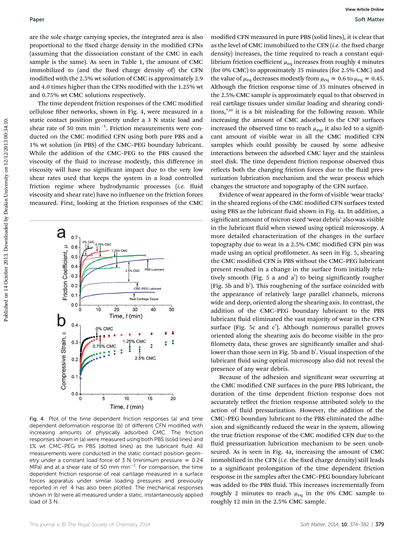are the sole charge carrying species, the integrated area is also proportional to the fixed charge density in the modified CFNs (assuming that the dissociation constant of the CMC in each sample is the same). As seen in Table 1, the amount of CMC immobilized to (and the fixed charge density of) the CFN modified with the 2.5% wt solution of CMC is approximately 2.9 and 4.0 times higher than the CFNs modified with the 1.25% wt and 0.75% wt CMC solutions respectively.

The time dependent friction responses of the CMC modified cellulose fiber networks, shown in Fig. 4, were measured in a static contact position geometry under a 3 N static load and shear rate of 50 mm  $min^{-1}$ . Friction measurements were conducted on the CMC modified CFN using both pure PBS and a 1% wt solution (in PBS) of the CMC–PEG boundary lubricant. While the addition of the CMC–PEG to the PBS caused the viscosity of the fluid to increase modestly, this difference in viscosity will have no significant impact due to the very low shear rates used that keeps the system in a load controlled friction regime where hydrodynamic processes (i.e. fluid viscosity and shear rate) have no influence on the friction forces measured. First, looking at the friction responses of the CMC



Fig. 4 Plot of the time dependent friction responses (a) and time dependent deformation response (b) of different CFN modified with increasing amounts of physically adsorbed CMC. The friction responses shown in (a) were measured using both PBS (solid lines) and 1% wt CMC-PEG in PBS (dotted lines) as the lubricant fluid. All measurements were conducted in the static contact position geometry under a constant load force of 3 N (minimum pressure  $\approx 0.24$ MPa) and at a shear rate of 50 mm min<sup>-1</sup>. For comparison, the time dependent friction response of real cartilage measured in a surface forces apparatus under similar loading pressures and previously reported in ref. 4 has also been plotted. The mechanical responses shown in (b) were all measured under a static, instantaneously applied load of 3 N.

modified CFN measured in pure PBS (solid lines), it is clear that as the level of CMC immobilized to the CFN (i.e. the fixed charge density) increases, the time required to reach a constant equilibrium friction coefficient  $\mu_{\text{eq}}$  increases from roughly 4 minutes (for 0% CMC) to approximately 35 minutes (for 2.5% CMC) and the value of  $\mu_{eq}$  decreases modestly from  $\mu_{eq} \approx 0.6$  to  $\mu_{eq} \approx 0.45$ . Although the friction response time of 35 minutes observed in the 2.5% CMC sample is approximately equal to that observed in real cartilage tissues under similar loading and shearing conditions, $7,12$  it is a bit misleading for the following reason. While increasing the amount of CMC adsorbed to the CNF surfaces increased the observed time to reach  $\mu_{eq}$ , it also led to a significant amount of visible wear in all the CMC modified CFN samples which could possibly be caused by some adhesive interactions between the adsorbed CMC layer and the stainless steel disk. The time dependent friction response observed thus reflects both the changing friction forces due to the fluid pressurization lubrication mechanism and the wear process which changes the structure and topography of the CFN surface. **Puper**<br> **Sate Most and the same of the same of the same of the same of the same of the same of the same of the same of the same of the same of the same of the same of the same of the same of the same of the same of the s** 

Evidence of wear appeared in the form of visible 'wear tracks' in the sheared regions of the CMC modified CFN surfaces tested using PBS as the lubricant fluid shown in Fig. 4a. In addition, a significant amount of micron sized 'wear debris' also was visible in the lubricant fluid when viewed using optical microscopy. A more detailed characterization of the changes in the surface topography due to wear in a 2.5% CMC modified CFN pin was made using an optical profilometer. As seen in Fig. 5, shearing the CMC modified CFN is PBS without the CMC–PEG lubricant present resulted in a change in the surface from initially relatively smooth (Fig. 5 a and a') to being significantly rougher (Fig. 5b and b'). This roughening of the surface coincided with the appearance of relatively large parallel channels, microns wide and deep, oriented along the shearing axis. In contrast, the addition of the CMC–PEG boundary lubricant to the PBS lubricant fluid eliminated the vast majority of wear in the CFN surface (Fig. 5c and  $c'$ ). Although numerous parallel groves oriented along the shearing axis do become visible in the pro filometry data, these groves are significantly smaller and shallower than those seen in Fig. 5b and b'. Visual inspection of the lubricant fluid using optical microscopy also did not reveal the presence of any wear debris.

Because of the adhesion and significant wear occurring at the CMC modified CNF surfaces in the pure PBS lubricant, the duration of the time dependent friction response does not accurately reflect the friction response attributed solely to the action of fluid pressurization. However, the addition of the CMC–PEG boundary lubricant to the PBS eliminated the adhesion and significantly reduced the wear in the system, allowing the true friction response of the CMC modified CFN due to the fluid pressurization lubrication mechanism to be seen unobscured. As is seen in Fig. 4a, increasing the amount of CMC immobilized in the CFN  $(i.e.$  the fixed charge density) still leads to a signicant prolongation of the time dependent friction response in the samples after the CMC-PEG boundary lubricant was added to the PBS fluid. This increases incrementally from roughly 2 minutes to reach  $\mu_{eq}$  in the 0% CMC sample to roughly 12 min in the 2.5% CMC sample.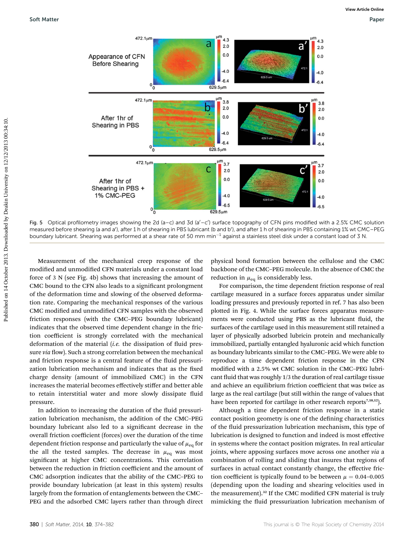

Fig. 5 Optical profilometry images showing the 2d (a-c) and 3d (a'-c') surface topography of CFN pins modified with a 2.5% CMC solution measured before shearing (a and a'), after 1 h of shearing in PBS lubricant (b and b'), and after 1 h of shearing in PBS containing 1% wt CMC—PEG boundary lubricant. Shearing was performed at a shear rate of 50 mm min<sup>-1</sup> against a stainless steel disk under a constant load of 3 N.

Measurement of the mechanical creep response of the modified and unmodified CFN materials under a constant load force of 3 N (see Fig. 4b) shows that increasing the amount of CMC bound to the CFN also leads to a significant prolongment of the deformation time and slowing of the observed deformation rate. Comparing the mechanical responses of the various CMC modified and unmodified CFN samples with the observed friction responses (with the CMC–PEG boundary lubricant) indicates that the observed time dependent change in the friction coefficient is strongly correlated with the mechanical deformation of the material  $(i.e.$  the dissipation of fluid pressure via flow). Such a strong correlation between the mechanical and friction response is a central feature of the fluid pressurization lubrication mechanism and indicates that as the fixed charge density (amount of immobilized CMC) in the CFN increases the material becomes effectively stiffer and better able to retain interstitial water and more slowly dissipate fluid pressure.

In addition to increasing the duration of the fluid pressurization lubrication mechanism, the addition of the CMC–PEG boundary lubricant also led to a signicant decrease in the overall friction coefficient (forces) over the duration of the time dependent friction response and particularly the value of  $\mu_{\text{eq}}$  for the all the tested samples. The decrease in  $\mu_{eq}$  was most significant at higher CMC concentrations. This correlation between the reduction in friction coefficient and the amount of CMC adsorption indicates that the ability of the CMC–PEG to provide boundary lubrication (at least in this system) results largely from the formation of entanglements between the CMC– PEG and the adsorbed CMC layers rather than through direct

physical bond formation between the cellulose and the CMC backbone of the CMC–PEG molecule. In the absence of CMC the reduction in  $\mu_{eq}$  is considerably less.

For comparison, the time dependent friction response of real cartilage measured in a surface forces apparatus under similar loading pressures and previously reported in ref. 7 has also been plotted in Fig. 4. While the surface forces apparatus measurements were conducted using PBS as the lubricant fluid, the surfaces of the cartilage used in this measurement still retained a layer of physically adsorbed lubricin protein and mechanically immobilized, partially entangled hyaluronic acid which function as boundary lubricants similar to the CMC–PEG. We were able to reproduce a time dependent friction response in the CFN modified with a 2.5% wt CMC solution in the CMC-PEG lubricant fluid that was roughly 1/3 the duration of real cartilage tissue and achieve an equilibrium friction coefficient that was twice as large as the real cartilage (but still within the range of values that have been reported for cartilage in other research reports<sup>7,10,12</sup>).

Although a time dependent friction response in a static contact position geometry is one of the defining characteristics of the fluid pressurization lubrication mechanism, this type of lubrication is designed to function and indeed is most effective in systems where the contact position migrates. In real articular joints, where apposing surfaces move across one another via a combination of rolling and sliding that insures that regions of surfaces in actual contact constantly change, the effective friction coefficient is typically found to be between  $\mu = 0.04$ –0.005 (depending upon the loading and shearing velocities used in the measurement).<sup>32</sup> If the CMC modified CFN material is truly mimicking the fluid pressurization lubrication mechanism of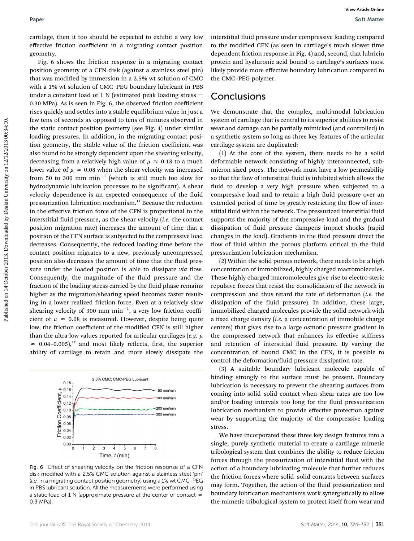cartilage, then it too should be expected to exhibit a very low effective friction coefficient in a migrating contact position geometry.

Fig. 6 shows the friction response in a migrating contact position geometry of a CFN disk (against a stainless steel pin) that was modified by immersion in a 2.5% wt solution of CMC with a 1% wt solution of CMC–PEG boundary lubricant in PBS under a constant load of 1 N (estimated peak loading stress  $=$ 0.30 MPa). As is seen in Fig. 6, the observed friction coefficient rises quickly and settles into a stable equilibrium value in just a few tens of seconds as opposed to tens of minutes observed in the static contact position geometry (see Fig. 4) under similar loading pressures. In addition, in the migrating contact position geometry, the stable value of the friction coefficient was also found to be strongly dependent upon the shearing velocity, decreasing from a relatively high value of  $\mu \approx 0.18$  to a much lower value of  $\mu \approx 0.08$  when the shear velocity was increased from 50 to 300 mm  $min^{-1}$  (which is still much too slow for hydrodynamic lubrication processes to be significant). A shear velocity dependence is an expected consequence of the fluid pressurization lubrication mechanism.<sup>12</sup> Because the reduction in the effective friction force of the CFN is proportional to the interstitial fluid pressure, as the shear velocity  $(i.e.$  the contact position migration rate) increases the amount of time that a position of the CFN surface is subjected to the compressive load decreases. Consequently, the reduced loading time before the contact position migrates to a new, previously uncompressed position also decreases the amount of time that the fluid pressure under the loaded position is able to dissipate via flow. Consequently, the magnitude of the fluid pressure and the fraction of the loading stress carried by the fluid phase remains higher as the migration/shearing speed becomes faster resulting in a lower realized friction force. Even at a relatively slow shearing velocity of 300 mm  $min^{-1}$ , a very low friction coefficient of  $\mu \approx 0.08$  is measured. However, despite being quite low, the friction coefficient of the modified CFN is still higher than the ultra-low values reported for articular cartilages (e.g.  $\mu$  $\approx$  0.04–0.005),<sup>32</sup> and most likely reflects, first, the superior ability of cartilage to retain and more slowly dissipate the Paper<br>
Paper we were contributed by controlled by controlled by the published on 14 October 2013. The published on 14 October 2013. Downloaded by Controlled Dealer the controlled Dealer Controlled Dealer Controlled Dealer



Fig. 6 Effect of shearing velocity on the friction response of a CFN disk modified with a 2.5% CMC solution against a stainless steel 'pin' (i.e. in a migrating contact position geometry) using a 1% wt CMC-PEG in PBS lubricant solution. All the measurements were performed using a static load of 1 N (approximate pressure at the center of contact  $\approx$ 0.3 MPa).

interstitial fluid pressure under compressive loading compared to the modified CFN (as seen in cartilage's much slower time dependent friction response in Fig. 4) and, second, that lubricin protein and hyaluronic acid bound to cartilage's surfaces most likely provide more effective boundary lubrication compared to the CMC–PEG polymer.

## **Conclusions**

We demonstrate that the complex, multi-modal lubrication system of cartilage that is central to its superior abilities to resist wear and damage can be partially mimicked (and controlled) in a synthetic system so long as three key features of the articular cartilage system are duplicated:

(1) At the core of the system, there needs to be a solid deformable network consisting of highly interconnected, submicron sized pores. The network must have a low permeability so that the flow of interstitial fluid is inhibited which allows the fluid to develop a very high pressure when subjected to a compressive load and to retain a high fluid pressure over an extended period of time by greatly restricting the flow of interstitial fluid within the network. The pressurized interstitial fluid supports the majority of the compressive load and the gradual dissipation of fluid pressure dampens impact shocks (rapid changes in the load). Gradients in the fluid pressure direct the flow of fluid within the porous platform critical to the fluid pressurization lubrication mechanism.

(2) Within the solid porous network, there needs to be a high concentration of immobilized, highly charged macromolecules. These highly charged macromolecules give rise to electro-steric repulsive forces that resist the consolidation of the network in compression and thus retard the rate of deformation  $(i.e.$  the dissipation of the fluid pressure). In addition, these large, immobilized charged molecules provide the solid network with a fixed charge density (*i.e.* a concentration of immobile charge centers) that gives rise to a large osmotic pressure gradient in the compressed network that enhances its effective stiffness and retention of interstitial fluid pressure. By varying the concentration of bound CMC in the CFN, it is possible to control the deformation/fluid pressure dissipation rate.

(3) A suitable boundary lubricant molecule capable of binding strongly to the surface must be present. Boundary lubrication is necessary to prevent the shearing surfaces from coming into solid–solid contact when shear rates are too low and/or loading intervals too long for the fluid pressurization lubrication mechanism to provide effective protection against wear by supporting the majority of the compressive loading stress.

We have incorporated these three key design features into a single, purely synthetic material to create a cartilage mimetic tribological system that combines the ability to reduce friction forces through the pressurization of interstitial fluid with the action of a boundary lubricating molecule that further reduces the friction forces where solid–solid contacts between surfaces may form. Together, the action of the fluid pressurization and boundary lubrication mechanisms work synergistically to allow the mimetic tribological system to protect itself from wear and